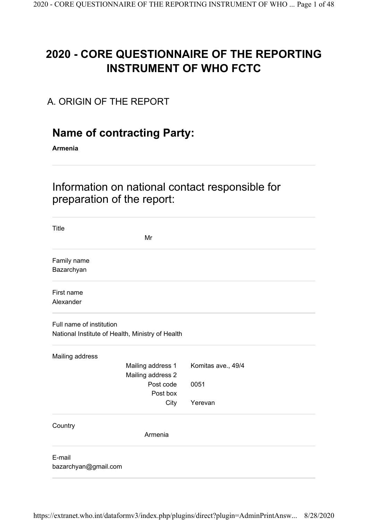# 2020 - CORE QUESTIONNAIRE OF THE REPORTING INSTRUMENT OF WHO FCTC

## A. ORIGIN OF THE REPORT

# Name of contracting Party:

Armenia

Information on national contact responsible for preparation of the report:

| Title                                            |                    |
|--------------------------------------------------|--------------------|
| Mr                                               |                    |
| Family name                                      |                    |
| Bazarchyan                                       |                    |
| First name                                       |                    |
| Alexander                                        |                    |
| Full name of institution                         |                    |
| National Institute of Health, Ministry of Health |                    |
| Mailing address                                  |                    |
| Mailing address 1                                | Komitas ave., 49/4 |
| Mailing address 2                                |                    |
| Post code                                        | 0051               |
| Post box                                         |                    |
| City                                             | Yerevan            |
| Country                                          |                    |
| Armenia                                          |                    |
| E-mail                                           |                    |
| bazarchyan@gmail.com                             |                    |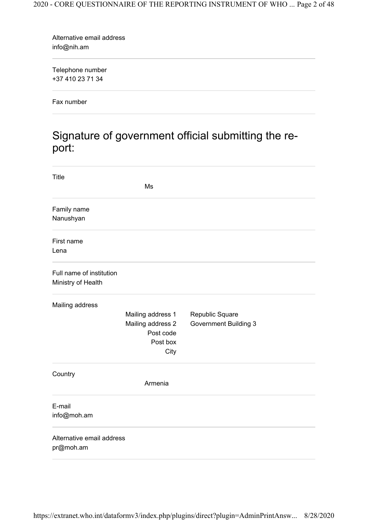info@nih.am Alternative email address

+37 410 23 71 34 Telephone number

Fax number

# Signature of government official submitting the report:

| <b>Title</b>                                   |                                                                         |                                                 |  |
|------------------------------------------------|-------------------------------------------------------------------------|-------------------------------------------------|--|
|                                                | Ms                                                                      |                                                 |  |
| Family name<br>Nanushyan                       |                                                                         |                                                 |  |
| First name<br>Lena                             |                                                                         |                                                 |  |
| Full name of institution<br>Ministry of Health |                                                                         |                                                 |  |
| Mailing address                                | Mailing address 1<br>Mailing address 2<br>Post code<br>Post box<br>City | Republic Square<br><b>Government Building 3</b> |  |
| Country                                        | Armenia                                                                 |                                                 |  |
| E-mail<br>info@moh.am                          |                                                                         |                                                 |  |
| Alternative email address<br>pr@moh.am         |                                                                         |                                                 |  |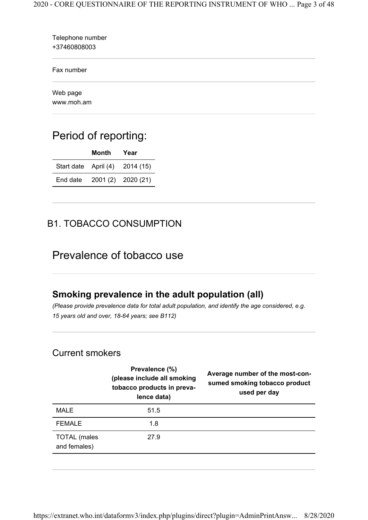| Telephone number<br>+37460808003 |  |
|----------------------------------|--|
| Fax number                       |  |
| Web page<br>www.moh.am           |  |

# Period of reporting:

|          | Month | Year                           |
|----------|-------|--------------------------------|
|          |       | Start date April (4) 2014 (15) |
| End date |       | 2001 (2) 2020 (21)             |

## B1. TOBACCO CONSUMPTION

## Prevalence of tobacco use

## Smoking prevalence in the adult population (all)

(Please provide prevalence data for total adult population, and identify the age considered, e.g. 15 years old and over, 18-64 years; see B112)

#### Current smokers

|                                     | Prevalence (%)<br>(please include all smoking<br>tobacco products in preva-<br>lence data) | Average number of the most-con-<br>sumed smoking tobacco product<br>used per day |
|-------------------------------------|--------------------------------------------------------------------------------------------|----------------------------------------------------------------------------------|
| MALE                                | 51.5                                                                                       |                                                                                  |
| <b>FEMALE</b>                       | 1.8                                                                                        |                                                                                  |
| <b>TOTAL</b> (males<br>and females) | 27.9                                                                                       |                                                                                  |
|                                     |                                                                                            |                                                                                  |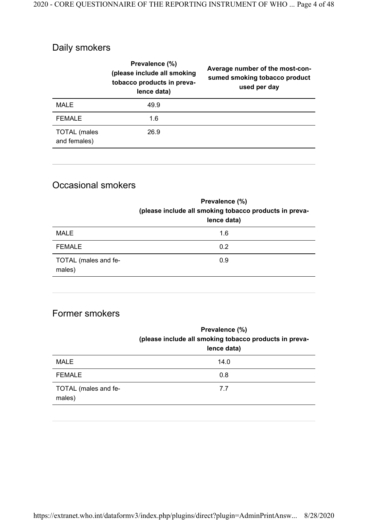# Daily smokers

|                                     | Prevalence (%)<br>(please include all smoking<br>tobacco products in preva-<br>lence data) | Average number of the most-con-<br>sumed smoking tobacco product<br>used per day |
|-------------------------------------|--------------------------------------------------------------------------------------------|----------------------------------------------------------------------------------|
| MALE                                | 49.9                                                                                       |                                                                                  |
| <b>FEMALE</b>                       | 1.6                                                                                        |                                                                                  |
| <b>TOTAL</b> (males<br>and females) | 26.9                                                                                       |                                                                                  |

## Occasional smokers

|                                | Prevalence (%)<br>(please include all smoking tobacco products in preva-<br>lence data) |
|--------------------------------|-----------------------------------------------------------------------------------------|
| MALE                           | 1.6                                                                                     |
| <b>FEMALE</b>                  | 0.2                                                                                     |
| TOTAL (males and fe-<br>males) | 0.9                                                                                     |

## Former smokers

|                                | Prevalence (%)<br>(please include all smoking tobacco products in preva-<br>lence data) |
|--------------------------------|-----------------------------------------------------------------------------------------|
| <b>MALE</b>                    | 14.0                                                                                    |
| <b>FEMALE</b>                  | 0.8                                                                                     |
| TOTAL (males and fe-<br>males) | 7.7                                                                                     |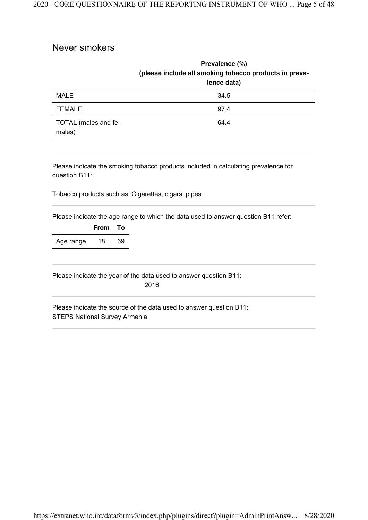#### Never smokers

|                                | Prevalence (%)<br>(please include all smoking tobacco products in preva-<br>lence data) |
|--------------------------------|-----------------------------------------------------------------------------------------|
| <b>MALE</b>                    | 34.5                                                                                    |
| <b>FEMALE</b>                  | 97.4                                                                                    |
| TOTAL (males and fe-<br>males) | 64.4                                                                                    |

Please indicate the smoking tobacco products included in calculating prevalence for question B11:

Tobacco products such as :Cigarettes, cigars, pipes

Please indicate the age range to which the data used to answer question B11 refer:

|           | From | - To |
|-----------|------|------|
| Age range | 18   | 69   |

Please indicate the year of the data used to answer question B11: 2016

STEPS National Survey Armenia Please indicate the source of the data used to answer question B11: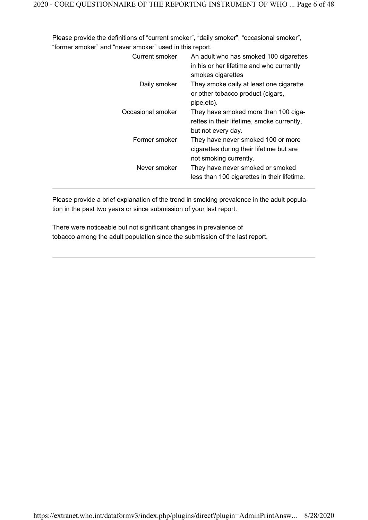Please provide the definitions of "current smoker", "daily smoker", "occasional smoker", "former smoker" and "never smoker" used in this report.

| Current smoker    | An adult who has smoked 100 cigarettes<br>in his or her lifetime and who currently<br>smokes cigarettes  |
|-------------------|----------------------------------------------------------------------------------------------------------|
| Daily smoker      | They smoke daily at least one cigarette<br>or other tobacco product (cigars,<br>pipe, etc).              |
| Occasional smoker | They have smoked more than 100 ciga-<br>rettes in their lifetime, smoke currently,<br>but not every day. |
| Former smoker     | They have never smoked 100 or more<br>cigarettes during their lifetime but are<br>not smoking currently. |
| Never smoker      | They have never smoked or smoked<br>less than 100 cigarettes in their lifetime.                          |

Please provide a brief explanation of the trend in smoking prevalence in the adult population in the past two years or since submission of your last report.

There were noticeable but not significant changes in prevalence of tobacco among the adult population since the submission of the last report.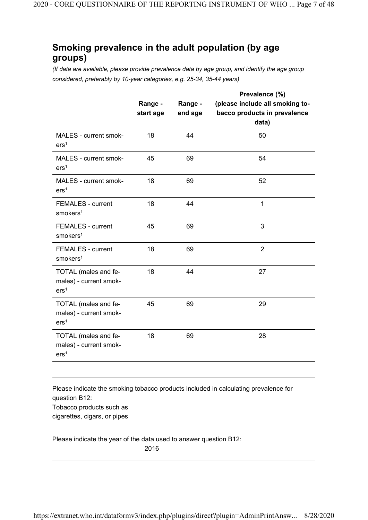### Smoking prevalence in the adult population (by age groups)

(If data are available, please provide prevalence data by age group, and identify the age group considered, preferably by 10-year categories, e.g. 25-34, 35-44 years)

|                                                                    |                      |                    | Prevalence (%)                                                           |
|--------------------------------------------------------------------|----------------------|--------------------|--------------------------------------------------------------------------|
|                                                                    | Range -<br>start age | Range -<br>end age | (please include all smoking to-<br>bacco products in prevalence<br>data) |
| MALES - current smok-<br>ers <sup>1</sup>                          | 18                   | 44                 | 50                                                                       |
| MALES - current smok-<br>ers <sup>1</sup>                          | 45                   | 69                 | 54                                                                       |
| MALES - current smok-<br>ers <sup>1</sup>                          | 18                   | 69                 | 52                                                                       |
| <b>FEMALES - current</b><br>smokes <sup>1</sup>                    | 18                   | 44                 | $\mathbf{1}$                                                             |
| <b>FEMALES - current</b><br>smokes <sup>1</sup>                    | 45                   | 69                 | 3                                                                        |
| <b>FEMALES - current</b><br>smokes <sup>1</sup>                    | 18                   | 69                 | $\overline{2}$                                                           |
| TOTAL (males and fe-<br>males) - current smok-<br>ers <sup>1</sup> | 18                   | 44                 | 27                                                                       |
| TOTAL (males and fe-<br>males) - current smok-<br>ers <sup>1</sup> | 45                   | 69                 | 29                                                                       |
| TOTAL (males and fe-<br>males) - current smok-<br>ers <sup>1</sup> | 18                   | 69                 | 28                                                                       |

Tobacco products such as cigarettes, cigars, or pipes Please indicate the smoking tobacco products included in calculating prevalence for question B12:

Please indicate the year of the data used to answer question B12:

2016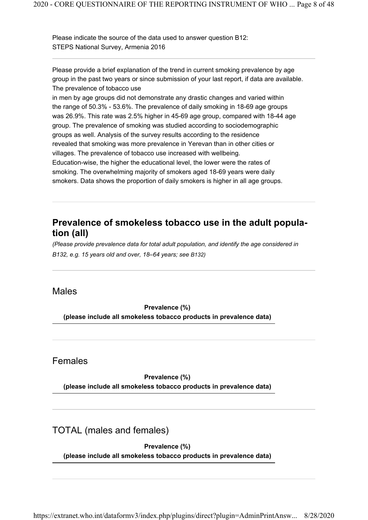STEPS National Survey, Armenia 2016 Please indicate the source of the data used to answer question B12:

The prevalence of tobacco use Please provide a brief explanation of the trend in current smoking prevalence by age group in the past two years or since submission of your last report, if data are available.

in men by age groups did not demonstrate any drastic changes and varied within the range of 50.3% - 53.6%. The prevalence of daily smoking in 18-69 age groups was 26.9%. This rate was 2.5% higher in 45-69 age group, compared with 18-44 age group. The prevalence of smoking was studied according to sociodemographic groups as well. Analysis of the survey results according to the residence revealed that smoking was more prevalence in Yerevan than in other cities or villages. The prevalence of tobacco use increased with wellbeing. Education-wise, the higher the educational level, the lower were the rates of smoking. The overwhelming majority of smokers aged 18-69 years were daily smokers. Data shows the proportion of daily smokers is higher in all age groups.

#### Prevalence of smokeless tobacco use in the adult population (all)

(Please provide prevalence data for total adult population, and identify the age considered in B132, e.g. 15 years old and over, 18–64 years; see B132)

#### Males

Prevalence (%) (please include all smokeless tobacco products in prevalence data)

#### Females

Prevalence (%) (please include all smokeless tobacco products in prevalence data)

TOTAL (males and females)

Prevalence (%) (please include all smokeless tobacco products in prevalence data)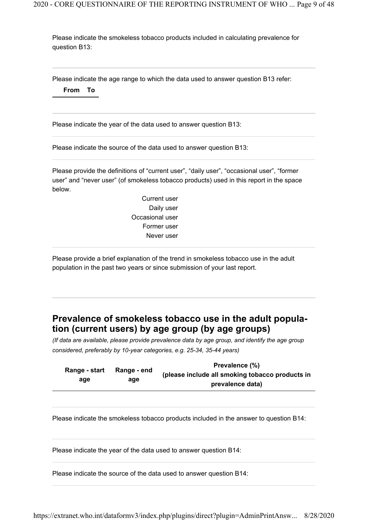Please indicate the smokeless tobacco products included in calculating prevalence for question B13:

Please indicate the age range to which the data used to answer question B13 refer: From To

Please indicate the year of the data used to answer question B13:

Please indicate the source of the data used to answer question B13:

Please provide the definitions of "current user", "daily user", "occasional user", "former user" and "never user" (of smokeless tobacco products) used in this report in the space below.

> Current user Daily user Occasional user Former user Never user

Please provide a brief explanation of the trend in smokeless tobacco use in the adult population in the past two years or since submission of your last report.

### Prevalence of smokeless tobacco use in the adult population (current users) by age group (by age groups)

(If data are available, please provide prevalence data by age group, and identify the age group considered, preferably by 10-year categories, e.g. 25-34, 35-44 years)

|               |             | Prevalence (%)                                  |
|---------------|-------------|-------------------------------------------------|
| Range - start | Range - end | (please include all smoking tobacco products in |
| age           | age         | prevalence data)                                |
|               |             |                                                 |

Please indicate the smokeless tobacco products included in the answer to question B14:

Please indicate the year of the data used to answer question B14:

Please indicate the source of the data used to answer question B14: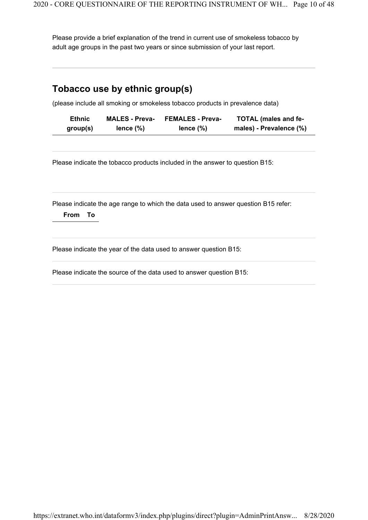Please provide a brief explanation of the trend in current use of smokeless tobacco by adult age groups in the past two years or since submission of your last report.

## Tobacco use by ethnic group(s)

(please include all smoking or smokeless tobacco products in prevalence data)

| <b>Ethnic</b> | <b>MALES - Preva-</b> | <b>FEMALES - Preva-</b> | <b>TOTAL (males and fe-</b> |
|---------------|-----------------------|-------------------------|-----------------------------|
| group(s)      | lence $(\%)$          | lence $(\%)$            | males) - Prevalence (%)     |

Please indicate the tobacco products included in the answer to question B15:

Please indicate the age range to which the data used to answer question B15 refer:

From To

Please indicate the year of the data used to answer question B15:

Please indicate the source of the data used to answer question B15: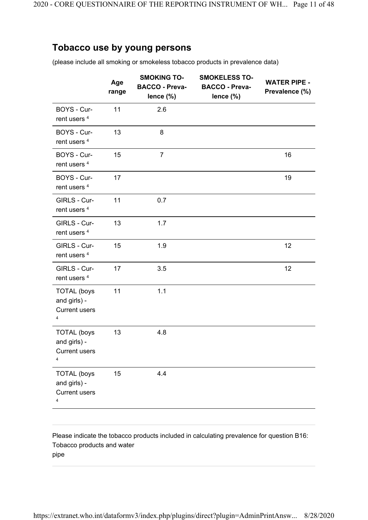#### Tobacco use by young persons

(please include all smoking or smokeless tobacco products in prevalence data)

|                                                                       | Age<br>range | <b>SMOKING TO-</b><br><b>BACCO - Preva-</b><br>lence (%) | <b>SMOKELESS TO-</b><br><b>BACCO - Preva-</b><br>lence (%) | <b>WATER PIPE -</b><br>Prevalence (%) |
|-----------------------------------------------------------------------|--------------|----------------------------------------------------------|------------------------------------------------------------|---------------------------------------|
| BOYS - Cur-<br>rent users <sup>4</sup>                                | 11           | 2.6                                                      |                                                            |                                       |
| BOYS - Cur-<br>rent users <sup>4</sup>                                | 13           | 8                                                        |                                                            |                                       |
| BOYS - Cur-<br>rent users <sup>4</sup>                                | 15           | $\overline{7}$                                           |                                                            | 16                                    |
| BOYS - Cur-<br>rent users <sup>4</sup>                                | 17           |                                                          |                                                            | 19                                    |
| GIRLS - Cur-<br>rent users <sup>4</sup>                               | 11           | 0.7                                                      |                                                            |                                       |
| GIRLS - Cur-<br>rent users <sup>4</sup>                               | 13           | 1.7                                                      |                                                            |                                       |
| GIRLS - Cur-<br>rent users <sup>4</sup>                               | 15           | 1.9                                                      |                                                            | 12                                    |
| GIRLS - Cur-<br>rent users <sup>4</sup>                               | 17           | 3.5                                                      |                                                            | 12                                    |
| <b>TOTAL</b> (boys<br>and girls) -<br><b>Current users</b><br>4       | 11           | 1.1                                                      |                                                            |                                       |
| <b>TOTAL</b> (boys<br>and girls) -<br>Current users<br>$\overline{4}$ | 13           | 4.8                                                      |                                                            |                                       |
| <b>TOTAL</b> (boys<br>and girls) -<br><b>Current users</b><br>4       | 15           | 4.4                                                      |                                                            |                                       |

Tobacco products and water pipe Please indicate the tobacco products included in calculating prevalence for question B16: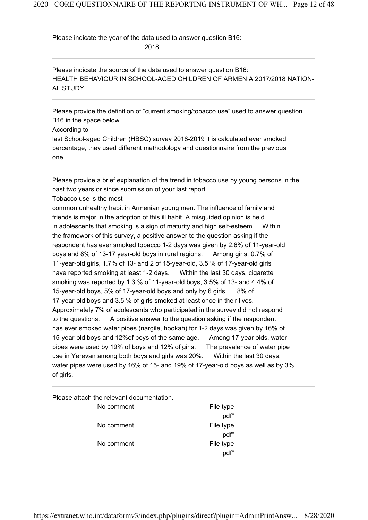Please indicate the year of the data used to answer question B16:

2018

HEALTH BEHAVIOUR IN SCHOOL-AGED CHILDREN OF ARMENIA 2017/2018 NATION-AL STUDY Please indicate the source of the data used to answer question B16:

Please provide the definition of "current smoking/tobacco use" used to answer question B16 in the space below.

According to

last School-aged Children (HBSC) survey 2018-2019 it is calculated ever smoked percentage, they used different methodology and questionnaire from the previous one.

Please provide a brief explanation of the trend in tobacco use by young persons in the past two years or since submission of your last report.

Tobacco use is the most

common unhealthy habit in Armenian young men. The influence of family and friends is major in the adoption of this ill habit. A misguided opinion is held in adolescents that smoking is a sign of maturity and high self-esteem. Within the framework of this survey, a positive answer to the question asking if the respondent has ever smoked tobacco 1-2 days was given by 2.6% of 11-year-old boys and 8% of 13-17 year-old boys in rural regions. Among girls, 0.7% of 11-year-old girls, 1.7% of 13- and 2 of 15-year-old, 3.5 % of 17-year-old girls have reported smoking at least 1-2 days. Within the last 30 days, cigarette smoking was reported by 1.3 % of 11-year-old boys, 3.5% of 13- and 4.4% of 15-year-old boys, 5% of 17-year-old boys and only by 6 girls. 8% of 17-year-old boys and 3.5 % of girls smoked at least once in their lives. Approximately 7% of adolescents who participated in the survey did not respond to the questions. A positive answer to the question asking if the respondent has ever smoked water pipes (nargile, hookah) for 1-2 days was given by 16% of 15-year-old boys and 12%of boys of the same age. Among 17-year olds, water pipes were used by 19% of boys and 12% of girls. The prevalence of water pipe use in Yerevan among both boys and girls was 20%. Within the last 30 days, water pipes were used by 16% of 15- and 19% of 17-year-old boys as well as by 3% of girls.

Please attach the relevant documentation.

No comment The South School and The type No comment The South School and The type No comment File type

"pdf" "pdf" "pdf"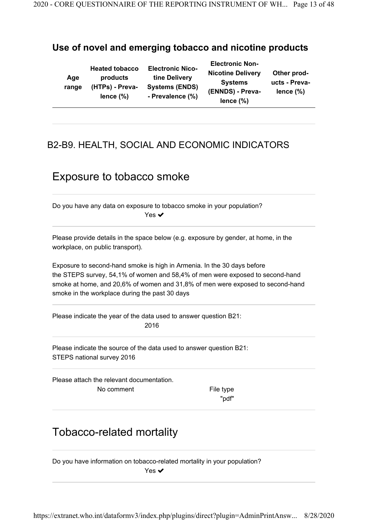#### Use of novel and emerging tobacco and nicotine products

| Age<br>range | <b>Heated tobacco</b><br>products<br>(HTPs) - Preva-<br>lence $(\%)$ | <b>Electronic Nico-</b><br>tine Delivery<br><b>Systems (ENDS)</b><br>- Prevalence (%) | <b>Electronic Non-</b><br><b>Nicotine Delivery</b><br><b>Systems</b><br>(ENNDS) - Preva-<br>lence $(\%)$ | Other prod-<br>ucts - Preva-<br>lence $(\%)$ |
|--------------|----------------------------------------------------------------------|---------------------------------------------------------------------------------------|----------------------------------------------------------------------------------------------------------|----------------------------------------------|
|--------------|----------------------------------------------------------------------|---------------------------------------------------------------------------------------|----------------------------------------------------------------------------------------------------------|----------------------------------------------|

## B2-B9. HEALTH, SOCIAL AND ECONOMIC INDICATORS

## Exposure to tobacco smoke

Do you have any data on exposure to tobacco smoke in your population? Yes ✔

Please provide details in the space below (e.g. exposure by gender, at home, in the workplace, on public transport).

Exposure to second-hand smoke is high in Armenia. In the 30 days before the STEPS survey, 54,1% of women and 58,4% of men were exposed to second-hand smoke at home, and 20,6% of women and 31,8% of men were exposed to second-hand smoke in the workplace during the past 30 days

Please indicate the year of the data used to answer question B21: 2016

STEPS national survey 2016 Please indicate the source of the data used to answer question B21:

Please attach the relevant documentation. No comment The type

"pdf"

# Tobacco-related mortality

Do you have information on tobacco-related mortality in your population? Yes **✓**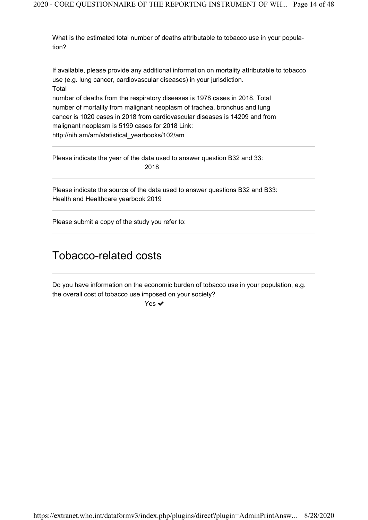What is the estimated total number of deaths attributable to tobacco use in your population?

Total If available, please provide any additional information on mortality attributable to tobacco use (e.g. lung cancer, cardiovascular diseases) in your jurisdiction.

number of deaths from the respiratory diseases is 1978 cases in 2018. Total number of mortality from malignant neoplasm of trachea, bronchus and lung cancer is 1020 cases in 2018 from cardiovascular diseases is 14209 and from malignant neoplasm is 5199 cases for 2018 Link: http://nih.am/am/statistical\_yearbooks/102/am

Please indicate the year of the data used to answer question B32 and 33: 2018

Health and Healthcare yearbook 2019 Please indicate the source of the data used to answer questions B32 and B33:

Please submit a copy of the study you refer to:

## Tobacco-related costs

Do you have information on the economic burden of tobacco use in your population, e.g. the overall cost of tobacco use imposed on your society?

Yes **✓**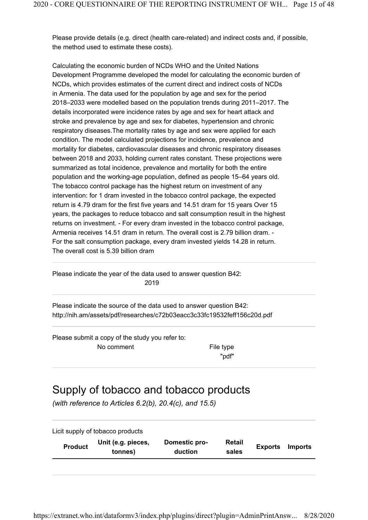Please provide details (e.g. direct (health care-related) and indirect costs and, if possible, the method used to estimate these costs).

Calculating the economic burden of NCDs WHO and the United Nations Development Programme developed the model for calculating the economic burden of NCDs, which provides estimates of the current direct and indirect costs of NCDs in Armenia. The data used for the population by age and sex for the period 2018–2033 were modelled based on the population trends during 2011–2017. The details incorporated were incidence rates by age and sex for heart attack and stroke and prevalence by age and sex for diabetes, hypertension and chronic respiratory diseases.The mortality rates by age and sex were applied for each condition. The model calculated projections for incidence, prevalence and mortality for diabetes, cardiovascular diseases and chronic respiratory diseases between 2018 and 2033, holding current rates constant. These projections were summarized as total incidence, prevalence and mortality for both the entire population and the working-age population, defined as people 15–64 years old. The tobacco control package has the highest return on investment of any intervention: for 1 dram invested in the tobacco control package, the expected return is 4.79 dram for the first five years and 14.51 dram for 15 years Over 15 years, the packages to reduce tobacco and salt consumption result in the highest returns on investment. - For every dram invested in the tobacco control package, Armenia receives 14.51 dram in return. The overall cost is 2.79 billion dram. - For the salt consumption package, every dram invested yields 14.28 in return. The overall cost is 5.39 billion dram

Please indicate the year of the data used to answer question B42: 2019

http://nih.am/assets/pdf/researches/c72b03eacc3c33fc19532feff156c20d.pdf Please indicate the source of the data used to answer question B42:

Please submit a copy of the study you refer to:

No comment The South School and The type

"pdf"

## Supply of tobacco and tobacco products

(with reference to Articles 6.2(b), 20.4(c), and 15.5)

| <b>Product</b> | Unit (e.g. pieces,<br>tonnes) | Domestic pro-<br>duction | Retail<br>sales | <b>Exports</b> | <b>Imports</b> |
|----------------|-------------------------------|--------------------------|-----------------|----------------|----------------|
|                |                               |                          |                 |                |                |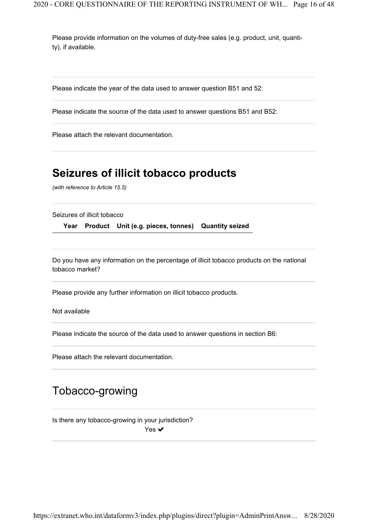Please provide information on the volumes of duty-free sales (e.g. product, unit, quantity), if available.

Please indicate the year of the data used to answer question B51 and 52:

Please indicate the source of the data used to answer questions B51 and B52:

Please attach the relevant documentation.

## Seizures of illicit tobacco products

(with reference to Article 15.5)

Seizures of illicit tobacco

Year Product Unit (e.g. pieces, tonnes) Quantity seized

Do you have any information on the percentage of illicit tobacco products on the national tobacco market?

Please provide any further information on illicit tobacco products.

Not available

Please indicate the source of the data used to answer questions in section B6:

Please attach the relevant documentation.

## Tobacco-growing

Is there any tobacco-growing in your jurisdiction?

Yes  $\checkmark$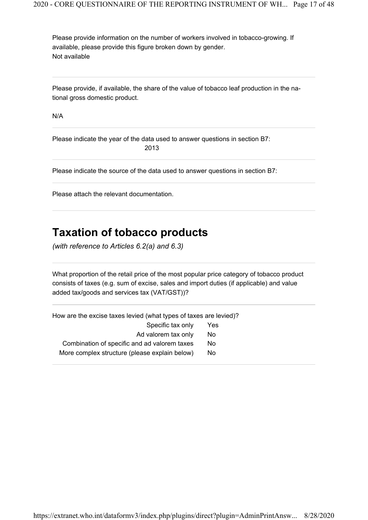Not available Please provide information on the number of workers involved in tobacco-growing. If available, please provide this figure broken down by gender.

Please provide, if available, the share of the value of tobacco leaf production in the national gross domestic product.

N/A

Please indicate the year of the data used to answer questions in section B7: 2013

Please indicate the source of the data used to answer questions in section B7:

Please attach the relevant documentation.

## Taxation of tobacco products

(with reference to Articles 6.2(a) and 6.3)

What proportion of the retail price of the most popular price category of tobacco product consists of taxes (e.g. sum of excise, sales and import duties (if applicable) and value added tax/goods and services tax (VAT/GST))?

| How are the excise taxes levied (what types of taxes are levied)? |     |
|-------------------------------------------------------------------|-----|
| Specific tax only                                                 | Yes |
| Ad valorem tax only                                               | No  |
| Combination of specific and ad valorem taxes                      | No  |
| More complex structure (please explain below)                     | No. |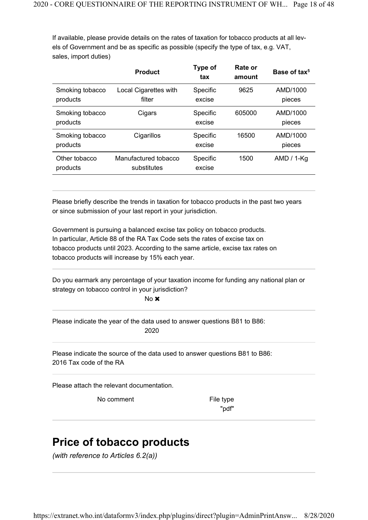If available, please provide details on the rates of taxation for tobacco products at all levels of Government and be as specific as possible (specify the type of tax, e.g. VAT, sales, import duties)

|                             | <b>Product</b>                      | Type of<br>tax     | Rate or<br>amount | Base of tax <sup>5</sup> |
|-----------------------------|-------------------------------------|--------------------|-------------------|--------------------------|
| Smoking tobacco<br>products | Local Cigarettes with<br>filter     | Specific<br>excise | 9625              | AMD/1000<br>pieces       |
| Smoking tobacco<br>products | Cigars                              | Specific<br>excise | 605000            | AMD/1000<br>pieces       |
| Smoking tobacco<br>products | Cigarillos                          | Specific<br>excise | 16500             | AMD/1000<br>pieces       |
| Other tobacco<br>products   | Manufactured tobacco<br>substitutes | Specific<br>excise | 1500              | $AMD / 1-Kg$             |

Please briefly describe the trends in taxation for tobacco products in the past two years or since submission of your last report in your jurisdiction.

Government is pursuing a balanced excise tax policy on tobacco products. In particular, Article 88 of the RA Tax Code sets the rates of excise tax on tobacco products until 2023. According to the same article, excise tax rates on tobacco products will increase by 15% each year.

Do you earmark any percentage of your taxation income for funding any national plan or strategy on tobacco control in your jurisdiction?

No **x** 

Please indicate the year of the data used to answer questions B81 to B86: 2020

2016 Tax code of the RA Please indicate the source of the data used to answer questions B81 to B86:

Please attach the relevant documentation.

No comment File type

"pdf"

# Price of tobacco products

(with reference to Articles 6.2(a))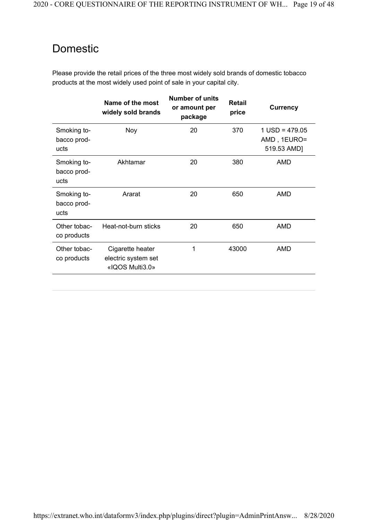# Domestic

Please provide the retail prices of the three most widely sold brands of domestic tobacco products at the most widely used point of sale in your capital city.

|                                    | Name of the most<br>widely sold brands                     | <b>Number of units</b><br>or amount per<br>package | <b>Retail</b><br>price | <b>Currency</b>                                |
|------------------------------------|------------------------------------------------------------|----------------------------------------------------|------------------------|------------------------------------------------|
| Smoking to-<br>bacco prod-<br>ucts | Noy                                                        | 20                                                 | 370                    | $1$ USD = 479.05<br>AMD, 1EURO=<br>519.53 AMD] |
| Smoking to-<br>bacco prod-<br>ucts | Akhtamar                                                   | 20                                                 | 380                    | AMD                                            |
| Smoking to-<br>bacco prod-<br>ucts | Ararat                                                     | 20                                                 | 650                    | AMD                                            |
| Other tobac-<br>co products        | Heat-not-burn sticks                                       | 20                                                 | 650                    | AMD                                            |
| Other tobac-<br>co products        | Cigarette heater<br>electric system set<br>«IQOS Multi3.0» | 1                                                  | 43000                  | <b>AMD</b>                                     |
|                                    |                                                            |                                                    |                        |                                                |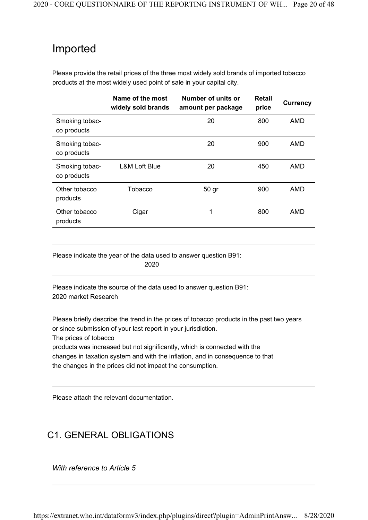## Imported

Please provide the retail prices of the three most widely sold brands of imported tobacco products at the most widely used point of sale in your capital city.

|                               | Name of the most<br>widely sold brands | Number of units or<br>amount per package | Retail<br>price | <b>Currency</b> |
|-------------------------------|----------------------------------------|------------------------------------------|-----------------|-----------------|
| Smoking tobac-<br>co products |                                        | 20                                       | 800             | <b>AMD</b>      |
| Smoking tobac-<br>co products |                                        | 20                                       | 900             | AMD             |
| Smoking tobac-<br>co products | <b>L&amp;M Loft Blue</b>               | 20                                       | 450             | AMD             |
| Other tobacco<br>products     | Tobacco                                | 50 gr                                    | 900             | AMD             |
| Other tobacco<br>products     | Cigar                                  | 1                                        | 800             | <b>AMD</b>      |

Please indicate the year of the data used to answer question B91:

2020

2020 market Research Please indicate the source of the data used to answer question B91:

Please briefly describe the trend in the prices of tobacco products in the past two years or since submission of your last report in your jurisdiction.

The prices of tobacco

products was increased but not significantly, which is connected with the changes in taxation system and with the inflation, and in consequence to that the changes in the prices did not impact the consumption.

Please attach the relevant documentation.

## C1. GENERAL OBLIGATIONS

With reference to Article 5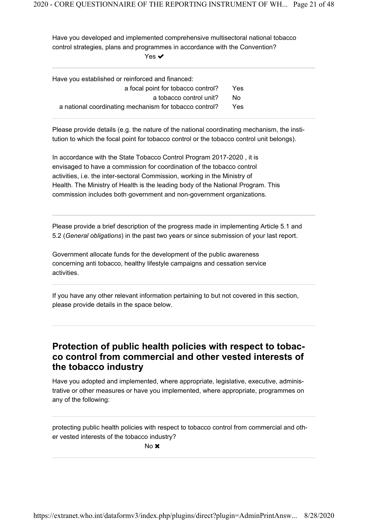Have you developed and implemented comprehensive multisectoral national tobacco control strategies, plans and programmes in accordance with the Convention?

Yes **✓** 

| Have you established or reinforced and financed:       |      |
|--------------------------------------------------------|------|
| a focal point for tobacco control?                     | Yes  |
| a tobacco control unit?                                | No.  |
| a national coordinating mechanism for tobacco control? | Yes. |

Please provide details (e.g. the nature of the national coordinating mechanism, the institution to which the focal point for tobacco control or the tobacco control unit belongs).

In accordance with the State Tobacco Control Program 2017-2020 , it is envisaged to have a commission for coordination of the tobacco control activities, i.e. the inter-sectoral Commission, working in the Ministry of Health. The Ministry of Health is the leading body of the National Program. This commission includes both government and non-government organizations.

Please provide a brief description of the progress made in implementing Article 5.1 and 5.2 (General obligations) in the past two years or since submission of your last report.

Government allocate funds for the development of the public awareness concerning anti tobacco, healthy lifestyle campaigns and cessation service activities.

If you have any other relevant information pertaining to but not covered in this section, please provide details in the space below.

### Protection of public health policies with respect to tobacco control from commercial and other vested interests of the tobacco industry

Have you adopted and implemented, where appropriate, legislative, executive, administrative or other measures or have you implemented, where appropriate, programmes on any of the following:

protecting public health policies with respect to tobacco control from commercial and other vested interests of the tobacco industry?

No **x**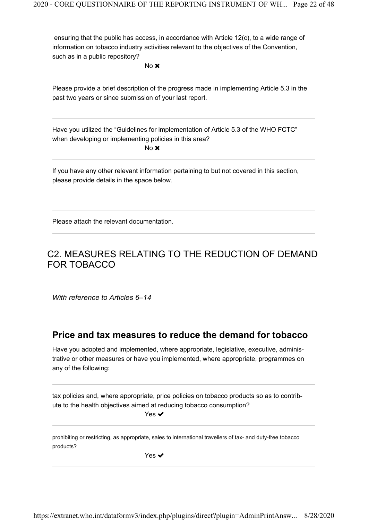ensuring that the public has access, in accordance with Article 12(c), to a wide range of information on tobacco industry activities relevant to the objectives of the Convention, such as in a public repository?

No **x** 

Please provide a brief description of the progress made in implementing Article 5.3 in the past two years or since submission of your last report.

Have you utilized the "Guidelines for implementation of Article 5.3 of the WHO FCTC" when developing or implementing policies in this area? No **x** 

If you have any other relevant information pertaining to but not covered in this section, please provide details in the space below.

Please attach the relevant documentation.

### C2. MEASURES RELATING TO THE REDUCTION OF DEMAND FOR TOBACCO

With reference to Articles 6-14

#### Price and tax measures to reduce the demand for tobacco

Have you adopted and implemented, where appropriate, legislative, executive, administrative or other measures or have you implemented, where appropriate, programmes on any of the following:

tax policies and, where appropriate, price policies on tobacco products so as to contribute to the health objectives aimed at reducing tobacco consumption?

Yes **✓** 

prohibiting or restricting, as appropriate, sales to international travellers of tax- and duty-free tobacco products?

Yes  $\checkmark$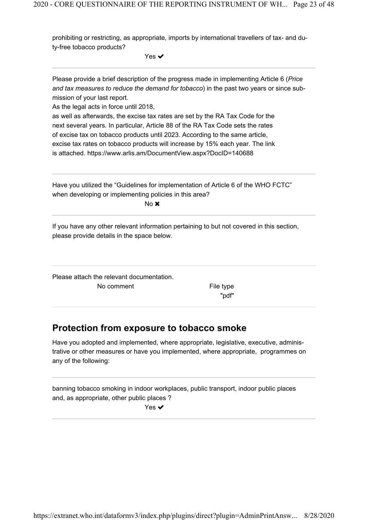prohibiting or restricting, as appropriate, imports by international travellers of tax- and duty-free tobacco products?

Yes  $\checkmark$ 

Please provide a brief description of the progress made in implementing Article 6 (Price and tax measures to reduce the demand for tobacco) in the past two years or since submission of your last report.

As the legal acts in force until 2018,

as well as afterwards, the excise tax rates are set by the RA Tax Code for the next several years. In particular, Article 88 of the RA Tax Code sets the rates of excise tax on tobacco products until 2023. According to the same article, excise tax rates on tobacco products will increase by 15% each year. The link is attached. https://www.arlis.am/DocumentView.aspx?DocID=140688

Have you utilized the "Guidelines for implementation of Article 6 of the WHO FCTC" when developing or implementing policies in this area? No **x** 

If you have any other relevant information pertaining to but not covered in this section, please provide details in the space below.

Please attach the relevant documentation. No comment The South School and The type

"pdf"

### Protection from exposure to tobacco smoke

Have you adopted and implemented, where appropriate, legislative, executive, administrative or other measures or have you implemented, where appropriate, programmes on any of the following:

banning tobacco smoking in indoor workplaces, public transport, indoor public places and, as appropriate, other public places ?

Yes ✔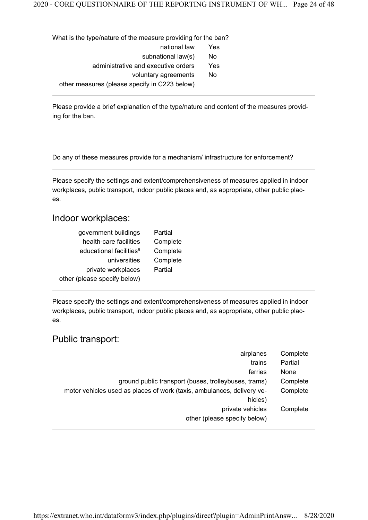What is the type/nature of the measure providing for the ban? national law Yes subnational law(s) No administrative and executive orders Yes voluntary agreements No other measures (please specify in C223 below)

Please provide a brief explanation of the type/nature and content of the measures providing for the ban.

Do any of these measures provide for a mechanism/ infrastructure for enforcement?

Please specify the settings and extent/comprehensiveness of measures applied in indoor workplaces, public transport, indoor public places and, as appropriate, other public places.

#### Indoor workplaces:

| government buildings                | Partial  |
|-------------------------------------|----------|
| health-care facilities              | Complete |
| educational facilities <sup>6</sup> | Complete |
| universities                        | Complete |
| private workplaces                  | Partial  |
| other (please specify below)        |          |

Please specify the settings and extent/comprehensiveness of measures applied in indoor workplaces, public transport, indoor public places and, as appropriate, other public places.

#### Public transport:

| Complete |
|----------|
| Partial  |
| None     |
| Complete |
| Complete |
|          |
| Complete |
|          |
|          |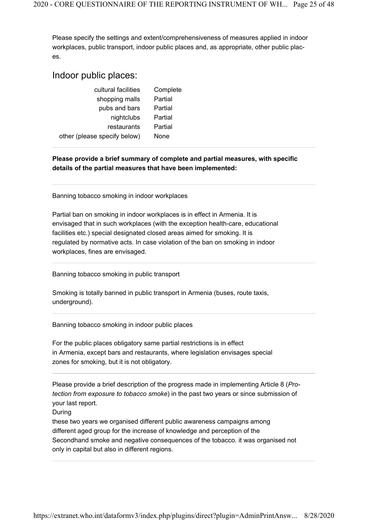Please specify the settings and extent/comprehensiveness of measures applied in indoor workplaces, public transport, indoor public places and, as appropriate, other public places.

#### Indoor public places:

| cultural facilities          | Complete |
|------------------------------|----------|
| shopping malls               | Partial  |
| pubs and bars                | Partial  |
| nightclubs                   | Partial  |
| restaurants                  | Partial  |
| other (please specify below) | None     |

#### Please provide a brief summary of complete and partial measures, with specific details of the partial measures that have been implemented:

Banning tobacco smoking in indoor workplaces

Partial ban on smoking in indoor workplaces is in effect in Armenia. It is envisaged that in such workplaces (with the exception health-care, educational facilities etc.) special designated closed areas aimed for smoking. It is regulated by normative acts. In case violation of the ban on smoking in indoor workplaces, fines are envisaged.

Banning tobacco smoking in public transport

Smoking is totally banned in public transport in Armenia (buses, route taxis, underground).

Banning tobacco smoking in indoor public places

For the public places obligatory same partial restrictions is in effect in Armenia, except bars and restaurants, where legislation envisages special zones for smoking, but it is not obligatory.

Please provide a brief description of the progress made in implementing Article 8 (Protection from exposure to tobacco smoke) in the past two years or since submission of your last report.

During

these two years we organised different public awareness campaigns among different aged group for the increase of knowledge and perception of the Secondhand smoke and negative consequences of the tobacco. it was organised not only in capital but also in different regions.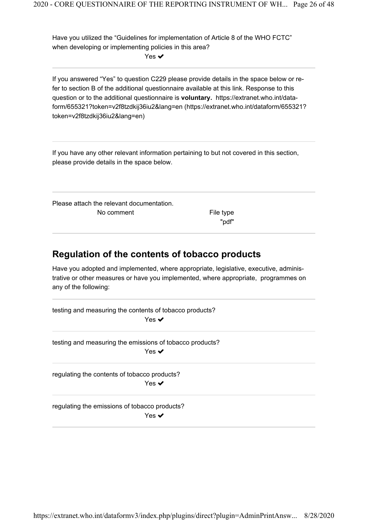Have you utilized the "Guidelines for implementation of Article 8 of the WHO FCTC" when developing or implementing policies in this area?

Yes **✓** 

If you answered "Yes" to question C229 please provide details in the space below or refer to section B of the additional questionnaire available at this link. Response to this question or to the additional questionnaire is voluntary. https://extranet.who.int/dataform/655321?token=v2f8tzdkij36iu2&lang=en (https://extranet.who.int/dataform/655321? token=v2f8tzdkij36iu2&lang=en)

If you have any other relevant information pertaining to but not covered in this section, please provide details in the space below.

Please attach the relevant documentation. No comment The South School and The type

"pdf"

### Regulation of the contents of tobacco products

Have you adopted and implemented, where appropriate, legislative, executive, administrative or other measures or have you implemented, where appropriate, programmes on any of the following:

testing and measuring the contents of tobacco products? Yes **✓** 

testing and measuring the emissions of tobacco products? Yes **✓** 

regulating the contents of tobacco products? Yes ✔

regulating the emissions of tobacco products?

Yes  $\checkmark$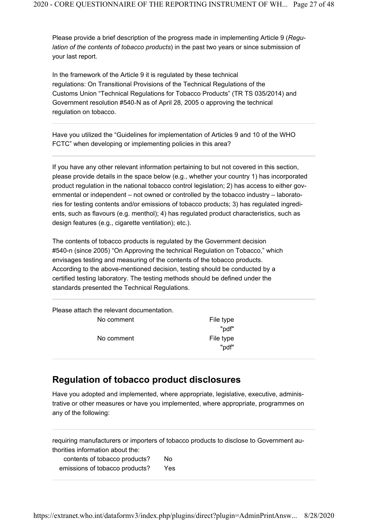Please provide a brief description of the progress made in implementing Article 9 (*Regu*lation of the contents of tobacco products) in the past two years or since submission of your last report.

In the framework of the Article 9 it is regulated by these technical regulations: On Transitional Provisions of the Technical Regulations of the Customs Union "Technical Regulations for Tobacco Products" (TR TS 035/2014) and Government resolution #540‐N as of April 28, 2005 o approving the technical regulation on tobacco.

Have you utilized the "Guidelines for implementation of Articles 9 and 10 of the WHO FCTC" when developing or implementing policies in this area?

If you have any other relevant information pertaining to but not covered in this section, please provide details in the space below (e.g., whether your country 1) has incorporated product regulation in the national tobacco control legislation; 2) has access to either governmental or independent – not owned or controlled by the tobacco industry – laboratories for testing contents and/or emissions of tobacco products; 3) has regulated ingredients, such as flavours (e.g. menthol); 4) has regulated product characteristics, such as design features (e.g., cigarette ventilation); etc.).

The contents of tobacco products is regulated by the Government decision #540-n (since 2005) "On Approving the technical Regulation on Tobacco," which envisages testing and measuring of the contents of the tobacco products. According to the above-mentioned decision, testing should be conducted by a certified testing laboratory. The testing methods should be defined under the standards presented the Technical Regulations.

Please attach the relevant documentation.

No comment The South School and The type "pdf" No comment The South School and The type "pdf"

### Regulation of tobacco product disclosures

Have you adopted and implemented, where appropriate, legislative, executive, administrative or other measures or have you implemented, where appropriate, programmes on any of the following:

requiring manufacturers or importers of tobacco products to disclose to Government authorities information about the:

| contents of tobacco products?  | No  |
|--------------------------------|-----|
| emissions of tobacco products? | Yes |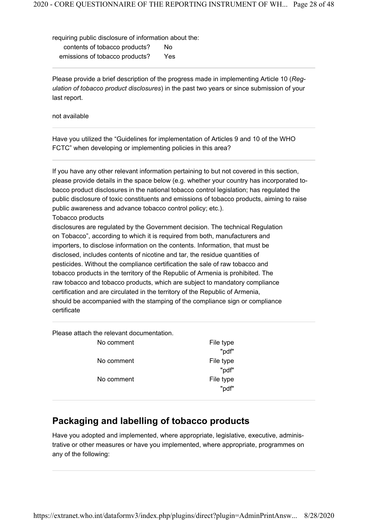requiring public disclosure of information about the: contents of tobacco products? No emissions of tobacco products? Yes

Please provide a brief description of the progress made in implementing Article 10 (*Reg*ulation of tobacco product disclosures) in the past two years or since submission of your last report.

not available

Have you utilized the "Guidelines for implementation of Articles 9 and 10 of the WHO FCTC" when developing or implementing policies in this area?

If you have any other relevant information pertaining to but not covered in this section, please provide details in the space below (e.g. whether your country has incorporated tobacco product disclosures in the national tobacco control legislation; has regulated the public disclosure of toxic constituents and emissions of tobacco products, aiming to raise public awareness and advance tobacco control policy; etc.).

Tobacco products

disclosures are regulated by the Government decision. The technical Regulation on Tobacco", according to which it is required from both, manufacturers and importers, to disclose information on the contents. Information, that must be disclosed, includes contents of nicotine and tar, the residue quantities of pesticides. Without the compliance certification the sale of raw tobacco and tobacco products in the territory of the Republic of Armenia is prohibited. The raw tobacco and tobacco products, which are subject to mandatory compliance certification and are circulated in the territory of the Republic of Armenia, should be accompanied with the stamping of the compliance sign or compliance certificate

Please attach the relevant documentation.

| No comment | File type |
|------------|-----------|
|            | "pdf"     |
| No comment | File type |
|            | "pdf"     |
| No comment | File type |
|            | "pdf"     |

#### Packaging and labelling of tobacco products

Have you adopted and implemented, where appropriate, legislative, executive, administrative or other measures or have you implemented, where appropriate, programmes on any of the following: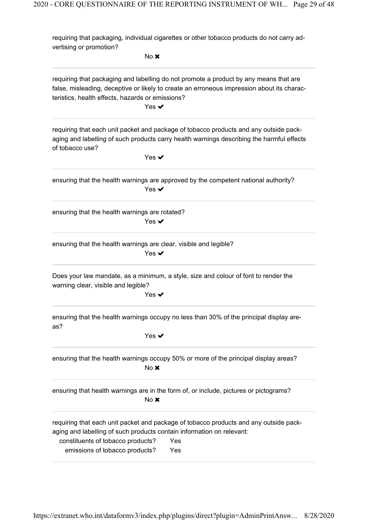requiring that packaging, individual cigarettes or other tobacco products do not carry advertising or promotion?

No **x** requiring that packaging and labelling do not promote a product by any means that are false, misleading, deceptive or likely to create an erroneous impression about its characteristics, health effects, hazards or emissions? Yes **✓** requiring that each unit packet and package of tobacco products and any outside packaging and labelling of such products carry health warnings describing the harmful effects of tobacco use? Yes **✓** ensuring that the health warnings are approved by the competent national authority? Yes **✓** ensuring that the health warnings are rotated? Yes  $\blacktriangledown$ ensuring that the health warnings are clear, visible and legible? Yes **✓** Does your law mandate, as a minimum, a style, size and colour of font to render the warning clear, visible and legible? Yes ✔ ensuring that the health warnings occupy no less than 30% of the principal display areas? Yes **✓** ensuring that the health warnings occupy 50% or more of the principal display areas? No **x** ensuring that health warnings are in the form of, or include, pictures or pictograms?  $No \times$ requiring that each unit packet and package of tobacco products and any outside packaging and labelling of such products contain information on relevant: constituents of tobacco products? Yes emissions of tobacco products? Yes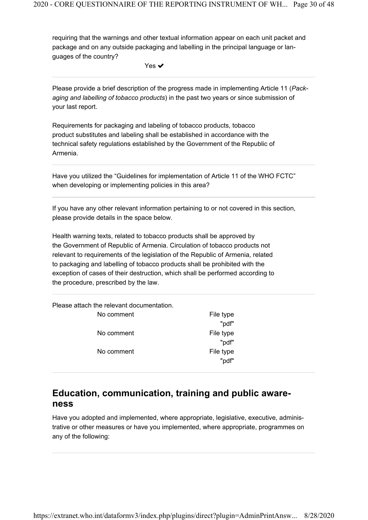requiring that the warnings and other textual information appear on each unit packet and package and on any outside packaging and labelling in the principal language or languages of the country?

Yes **✓** 

Please provide a brief description of the progress made in implementing Article 11 (*Pack*aging and labelling of tobacco products) in the past two years or since submission of your last report.

Requirements for packaging and labeling of tobacco products, tobacco product substitutes and labeling shall be established in accordance with the technical safety regulations established by the Government of the Republic of Armenia.

Have you utilized the "Guidelines for implementation of Article 11 of the WHO FCTC" when developing or implementing policies in this area?

If you have any other relevant information pertaining to or not covered in this section, please provide details in the space below.

Health warning texts, related to tobacco products shall be approved by the Government of Republic of Armenia. Circulation of tobacco products not relevant to requirements of the legislation of the Republic of Armenia, related to packaging and labelling of tobacco products shall be prohibited with the exception of cases of their destruction, which shall be performed according to the procedure, prescribed by the law.

Please attach the relevant documentation.

| No comment | File type |
|------------|-----------|
|            | "pdf"     |
| No comment | File type |
|            | "pdf"     |
| No comment | File type |
|            | "pdf"     |

#### Education, communication, training and public awareness

Have you adopted and implemented, where appropriate, legislative, executive, administrative or other measures or have you implemented, where appropriate, programmes on any of the following: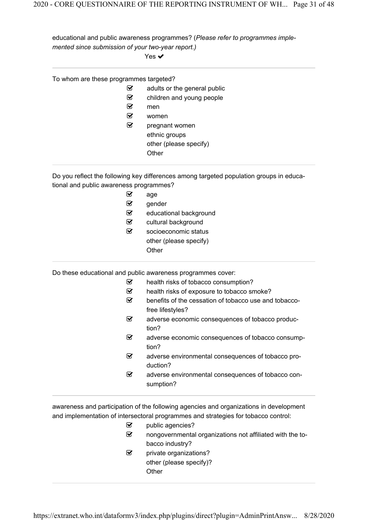educational and public awareness programmes? (Please refer to programmes implemented since submission of your two-year report.)

Yes  $\blacktriangledown$ 

| To whom are these programmes targeted?  | ☑<br>☑<br>☑<br>☑<br>V | adults or the general public<br>children and young people<br>men<br>women<br>pregnant women<br>ethnic groups<br>other (please specify)<br>Other |
|-----------------------------------------|-----------------------|-------------------------------------------------------------------------------------------------------------------------------------------------|
| tional and public awareness programmes? |                       | Do you reflect the following key differences among targeted population groups in educa-                                                         |
|                                         | ☑                     | age                                                                                                                                             |
|                                         | ☑                     | gender                                                                                                                                          |
|                                         | ☑                     | educational background                                                                                                                          |
|                                         | V                     | cultural background                                                                                                                             |
|                                         | V                     | socioeconomic status                                                                                                                            |
|                                         |                       | other (please specify)                                                                                                                          |
|                                         |                       | Other                                                                                                                                           |
|                                         |                       | Do these educational and public awareness programmes cover:                                                                                     |
|                                         | ☑                     | health risks of tobacco consumption?                                                                                                            |
|                                         | ☑                     | health risks of exposure to tobacco smoke?                                                                                                      |
|                                         | V                     | benefits of the cessation of tobacco use and tobacco-<br>free lifestyles?                                                                       |
|                                         | V                     | adverse economic consequences of tobacco produc-<br>tion?                                                                                       |
|                                         | ☑                     | adverse economic consequences of tobacco consump-<br>tion?                                                                                      |
|                                         | ☑                     | adverse environmental consequences of tobacco pro-<br>duction?                                                                                  |
|                                         | V                     | adverse environmental consequences of tobacco con-<br>sumption?                                                                                 |

awareness and participation of the following agencies and organizations in development and implementation of intersectoral programmes and strategies for tobacco control:

| ☑ | public agencies?                                          |
|---|-----------------------------------------------------------|
| ☑ | nongovernmental organizations not affiliated with the to- |
|   | bacco industry?                                           |
| ⊻ | private organizations?                                    |
|   | other (please specify)?                                   |
|   | Other                                                     |
|   |                                                           |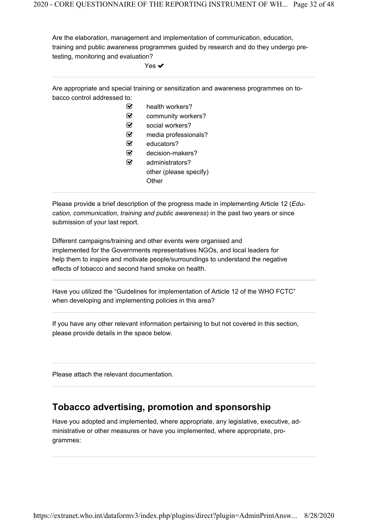Are the elaboration, management and implementation of communication, education, training and public awareness programmes guided by research and do they undergo pretesting, monitoring and evaluation?

Yes  $\checkmark$ 

Are appropriate and special training or sensitization and awareness programmes on tobacco control addressed to:

- health workers?
- community workers?
- Social workers?
- media professionals?
- $\mathcal{G}$  educators?
- $\mathcal G$  decision-makers?
- administrators? other (please specify) Other

Please provide a brief description of the progress made in implementing Article 12 (*Edu*cation, communication, training and public awareness) in the past two years or since submission of your last report.

Different campaigns/training and other events were organised and implemented for the Governments representatives NGOs, and local leaders for help them to inspire and motivate people/surroundings to understand the negative effects of tobacco and second hand smoke on health.

Have you utilized the "Guidelines for implementation of Article 12 of the WHO FCTC" when developing and implementing policies in this area?

If you have any other relevant information pertaining to but not covered in this section, please provide details in the space below.

Please attach the relevant documentation.

### Tobacco advertising, promotion and sponsorship

Have you adopted and implemented, where appropriate, any legislative, executive, administrative or other measures or have you implemented, where appropriate, programmes: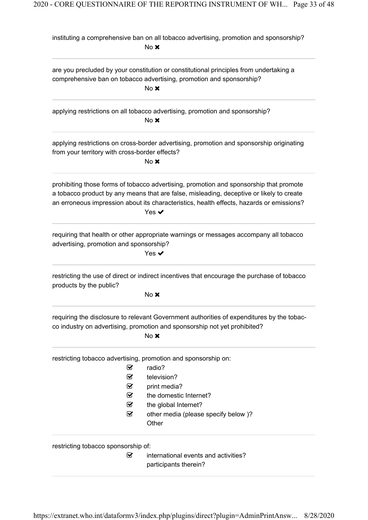|                                                | instituting a comprehensive ban on all tobacco advertising, promotion and sponsorship?<br>No x                                                                                                                                                                                                             |
|------------------------------------------------|------------------------------------------------------------------------------------------------------------------------------------------------------------------------------------------------------------------------------------------------------------------------------------------------------------|
|                                                | are you precluded by your constitution or constitutional principles from undertaking a<br>comprehensive ban on tobacco advertising, promotion and sponsorship?<br>$No \times$                                                                                                                              |
|                                                | applying restrictions on all tobacco advertising, promotion and sponsorship?<br>$No \times$                                                                                                                                                                                                                |
| from your territory with cross-border effects? | applying restrictions on cross-border advertising, promotion and sponsorship originating<br>$No \times$                                                                                                                                                                                                    |
|                                                | prohibiting those forms of tobacco advertising, promotion and sponsorship that promote<br>a tobacco product by any means that are false, misleading, deceptive or likely to create<br>an erroneous impression about its characteristics, health effects, hazards or emissions?<br>Yes $\blacktriangledown$ |
| advertising, promotion and sponsorship?        | requiring that health or other appropriate warnings or messages accompany all tobacco<br>Yes $\bm{\checkmark}$                                                                                                                                                                                             |
| products by the public?                        | restricting the use of direct or indirect incentives that encourage the purchase of tobacco<br>$No \times$                                                                                                                                                                                                 |
|                                                | requiring the disclosure to relevant Government authorities of expenditures by the tobac-<br>co industry on advertising, promotion and sponsorship not yet prohibited?<br>$No \times$                                                                                                                      |
|                                                | restricting tobacco advertising, promotion and sponsorship on:<br>radio?<br>☑<br>television?<br>☑<br>☑<br>print media?<br>the domestic Internet?<br>V<br>☑<br>the global Internet?<br>☑<br>other media (please specify below)?<br>Other                                                                    |
| restricting tobacco sponsorship of:            | ☑<br>international events and activities?<br>participants therein?                                                                                                                                                                                                                                         |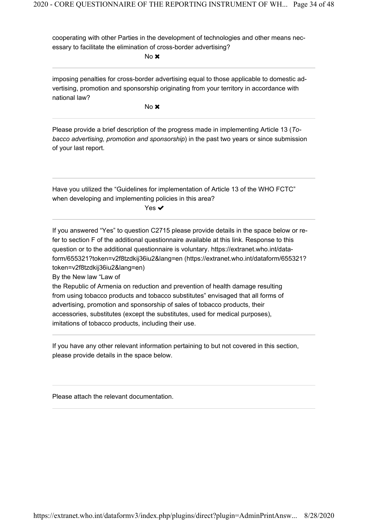cooperating with other Parties in the development of technologies and other means necessary to facilitate the elimination of cross-border advertising?

No **x** 

imposing penalties for cross-border advertising equal to those applicable to domestic advertising, promotion and sponsorship originating from your territory in accordance with national law?

No **x** 

Please provide a brief description of the progress made in implementing Article 13 ( To*bacco advertising, promotion and sponsorship*) in the past two years or since submission of your last report.

Have you utilized the "Guidelines for implementation of Article 13 of the WHO FCTC" when developing and implementing policies in this area?

Yes **✓** 

If you answered "Yes" to question C2715 please provide details in the space below or refer to section F of the additional questionnaire available at this link. Response to this question or to the additional questionnaire is voluntary. https://extranet.who.int/dataform/655321?token=v2f8tzdkij36iu2&lang=en (https://extranet.who.int/dataform/655321? token=v2f8tzdkij36iu2&lang=en)

By the New law "Law of

the Republic of Armenia on reduction and prevention of health damage resulting from using tobacco products and tobacco substitutes" envisaged that all forms of advertising, promotion and sponsorship of sales of tobacco products, their accessories, substitutes (except the substitutes, used for medical purposes), imitations of tobacco products, including their use.

If you have any other relevant information pertaining to but not covered in this section, please provide details in the space below.

Please attach the relevant documentation.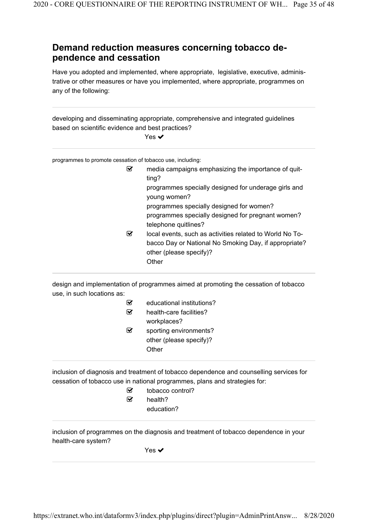#### Demand reduction measures concerning tobacco dependence and cessation

Have you adopted and implemented, where appropriate, legislative, executive, administrative or other measures or have you implemented, where appropriate, programmes on any of the following:

developing and disseminating appropriate, comprehensive and integrated guidelines based on scientific evidence and best practices?

Yes ✔

programmes to promote cessation of tobacco use, including:

| ☑ | media campaigns emphasizing the importance of quit-<br>ting?         |
|---|----------------------------------------------------------------------|
|   | programmes specially designed for underage girls and<br>young women? |
|   | programmes specially designed for women?                             |
|   | programmes specially designed for pregnant women?                    |
|   | telephone quitlines?                                                 |
| ⊻ | local events, such as activities related to World No To-             |
|   | bacco Day or National No Smoking Day, if appropriate?                |
|   | other (please specify)?                                              |
|   | Other                                                                |
|   |                                                                      |

design and implementation of programmes aimed at promoting the cessation of tobacco use, in such locations as:

|   | educational institutions? |
|---|---------------------------|
| ⋈ | health-care facilities?   |
|   | workplaces?               |
| ы | sporting environments?    |
|   | other (please specify)?   |
|   | Other                     |

inclusion of diagnosis and treatment of tobacco dependence and counselling services for cessation of tobacco use in national programmes, plans and strategies for:

> tobacco control?  $\mathcal{G}$  health? education?

inclusion of programmes on the diagnosis and treatment of tobacco dependence in your health-care system?

Yes **✓**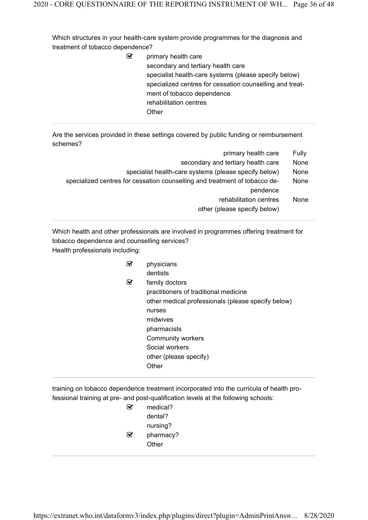Which structures in your health-care system provide programmes for the diagnosis and treatment of tobacco dependence?

> $\mathcal G$  primary health care secondary and tertiary health care specialist health-care systems (please specify below) specialized centres for cessation counselling and treatment of tobacco dependence rehabilitation centres **Other**

Are the services provided in these settings covered by public funding or reimbursement schemes?

| Fully | primary health care                                                        |
|-------|----------------------------------------------------------------------------|
| None  | secondary and tertiary health care                                         |
| None  | specialist health-care systems (please specify below)                      |
| None  | specialized centres for cessation counselling and treatment of tobacco de- |
|       | pendence                                                                   |
| None  | rehabilitation centres                                                     |
|       | other (please specify below)                                               |
|       |                                                                            |

Which health and other professionals are involved in programmes offering treatment for tobacco dependence and counselling services? Health professionals including:

|   | physicians                                         |
|---|----------------------------------------------------|
|   | dentists                                           |
| ⋈ | family doctors                                     |
|   | practitioners of traditional medicine              |
|   | other medical professionals (please specify below) |
|   | nurses                                             |
|   | midwives                                           |
|   | pharmacists                                        |
|   | <b>Community workers</b>                           |
|   | Social workers                                     |
|   | other (please specify)                             |
|   | Other                                              |
|   |                                                    |

training on tobacco dependence treatment incorporated into the curricula of health professional training at pre- and post-qualification levels at the following schools:

| M | medical?  |
|---|-----------|
|   | dental?   |
|   | nursing?  |
| M | pharmacy? |
|   | Other     |
|   |           |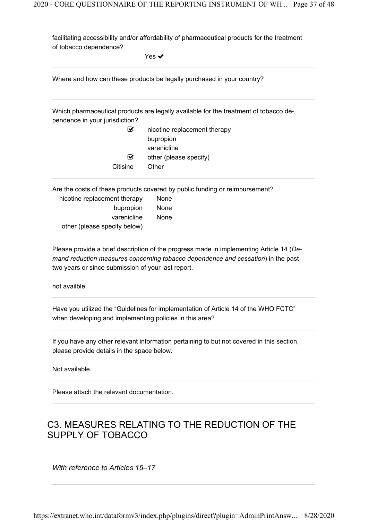facilitating accessibility and/or affordability of pharmaceutical products for the treatment of tobacco dependence?

Yes  $\checkmark$ 

| Where and how can these products be legally purchased in your country? |  |
|------------------------------------------------------------------------|--|
|                                                                        |  |

Which pharmaceutical products are legally available for the treatment of tobacco dependence in your jurisdiction?

| nicotine replacement therapy<br>∨ |                        |
|-----------------------------------|------------------------|
|                                   | bupropion              |
|                                   | varenicline            |
| ⊽                                 | other (please specify) |
| Citisine                          | Other                  |
|                                   |                        |

Are the costs of these products covered by public funding or reimbursement?

| nicotine replacement therapy | None        |  |
|------------------------------|-------------|--|
| bupropion                    | <b>None</b> |  |
| varenicline                  | <b>None</b> |  |
| other (please specify below) |             |  |

Please provide a brief description of the progress made in implementing Article 14 ( Demand reduction measures concerning tobacco dependence and cessation) in the past two years or since submission of your last report.

not availble

Have you utilized the "Guidelines for implementation of Article 14 of the WHO FCTC" when developing and implementing policies in this area?

If you have any other relevant information pertaining to but not covered in this section, please provide details in the space below.

Not available.

Please attach the relevant documentation.

## C3. MEASURES RELATING TO THE REDUCTION OF THE SUPPLY OF TOBACCO

With reference to Articles 15–17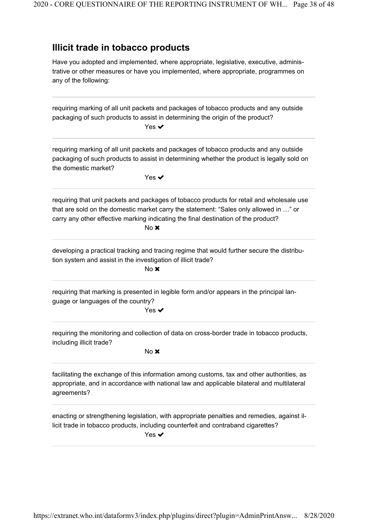### Illicit trade in tobacco products

Have you adopted and implemented, where appropriate, legislative, executive, administrative or other measures or have you implemented, where appropriate, programmes on any of the following:

requiring marking of all unit packets and packages of tobacco products and any outside packaging of such products to assist in determining the origin of the product? Yes ✔ requiring marking of all unit packets and packages of tobacco products and any outside packaging of such products to assist in determining whether the product is legally sold on the domestic market? Yes ✔ requiring that unit packets and packages of tobacco products for retail and wholesale use that are sold on the domestic market carry the statement: "Sales only allowed in …" or carry any other effective marking indicating the final destination of the product? No **x** developing a practical tracking and tracing regime that would further secure the distribution system and assist in the investigation of illicit trade? No **x** requiring that marking is presented in legible form and/or appears in the principal language or languages of the country? Yes ✔ requiring the monitoring and collection of data on cross-border trade in tobacco products, including illicit trade? No **x** facilitating the exchange of this information among customs, tax and other authorities, as appropriate, and in accordance with national law and applicable bilateral and multilateral agreements? enacting or strengthening legislation, with appropriate penalties and remedies, against illicit trade in tobacco products, including counterfeit and contraband cigarettes?

Yes  $\checkmark$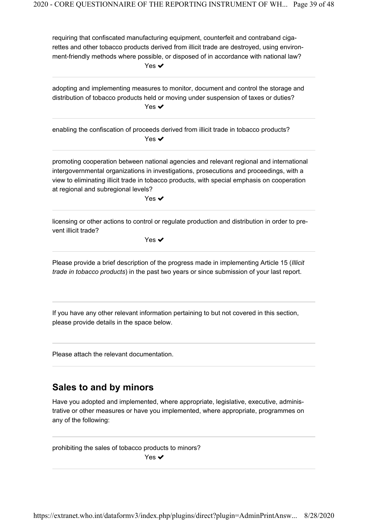requiring that confiscated manufacturing equipment, counterfeit and contraband cigarettes and other tobacco products derived from illicit trade are destroyed, using environment-friendly methods where possible, or disposed of in accordance with national law? Yes **✓** 

adopting and implementing measures to monitor, document and control the storage and distribution of tobacco products held or moving under suspension of taxes or duties? Yes  $\blacktriangledown$ 

enabling the confiscation of proceeds derived from illicit trade in tobacco products? Yes  $\checkmark$ 

promoting cooperation between national agencies and relevant regional and international intergovernmental organizations in investigations, prosecutions and proceedings, with a view to eliminating illicit trade in tobacco products, with special emphasis on cooperation at regional and subregional levels?

Yes  $\blacktriangledown$ 

licensing or other actions to control or regulate production and distribution in order to prevent illicit trade?

Yes  $\blacktriangledown$ 

Please provide a brief description of the progress made in implementing Article 15 (Illicit *trade in tobacco products*) in the past two years or since submission of your last report.

If you have any other relevant information pertaining to but not covered in this section, please provide details in the space below.

Please attach the relevant documentation.

### Sales to and by minors

Have you adopted and implemented, where appropriate, legislative, executive, administrative or other measures or have you implemented, where appropriate, programmes on any of the following:

prohibiting the sales of tobacco products to minors? Yes **✓**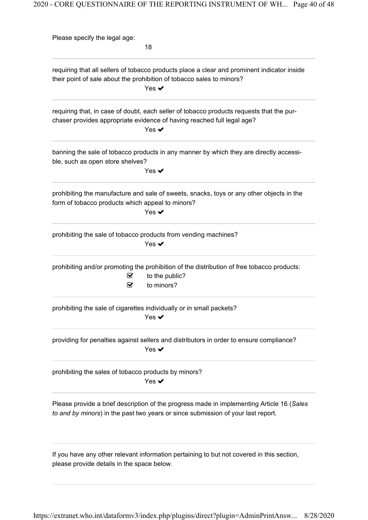Please specify the legal age: 18 requiring that all sellers of tobacco products place a clear and prominent indicator inside their point of sale about the prohibition of tobacco sales to minors? Yes **✓** requiring that, in case of doubt, each seller of tobacco products requests that the purchaser provides appropriate evidence of having reached full legal age? Yes  $\blacktriangledown$ banning the sale of tobacco products in any manner by which they are directly accessible, such as open store shelves? Yes  $\blacktriangledown$ prohibiting the manufacture and sale of sweets, snacks, toys or any other objects in the form of tobacco products which appeal to minors? Yes **✓** prohibiting the sale of tobacco products from vending machines? Yes ✔ prohibiting and/or promoting the prohibition of the distribution of free tobacco products:  $\triangleright$  to the public?  $\mathbf{\mathcal{C}}$  to minors? prohibiting the sale of cigarettes individually or in small packets? Yes ✔ providing for penalties against sellers and distributors in order to ensure compliance? Yes  $\checkmark$ prohibiting the sales of tobacco products by minors? Yes ✔ Please provide a brief description of the progress made in implementing Article 16 (Sales to and by minors) in the past two years or since submission of your last report. If you have any other relevant information pertaining to but not covered in this section, please provide details in the space below.

https://extranet.who.int/dataformv3/index.php/plugins/direct?plugin=AdminPrintAnsw... 8/28/2020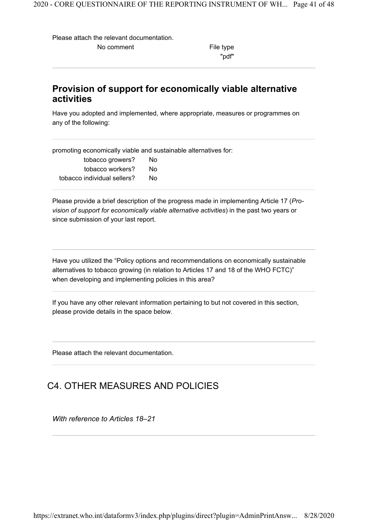Please attach the relevant documentation.

No comment The South School and The type

"pdf"

#### Provision of support for economically viable alternative activities

Have you adopted and implemented, where appropriate, measures or programmes on any of the following:

promoting economically viable and sustainable alternatives for:

| tobacco growers?            | Nο |
|-----------------------------|----|
| tobacco workers?            | N٥ |
| tobacco individual sellers? | N٥ |

Please provide a brief description of the progress made in implementing Article 17 ( Provision of support for economically viable alternative activities) in the past two years or since submission of your last report.

Have you utilized the "Policy options and recommendations on economically sustainable alternatives to tobacco growing (in relation to Articles 17 and 18 of the WHO FCTC)" when developing and implementing policies in this area?

If you have any other relevant information pertaining to but not covered in this section, please provide details in the space below.

Please attach the relevant documentation.

## C4. OTHER MEASURES AND POLICIES

With reference to Articles 18–21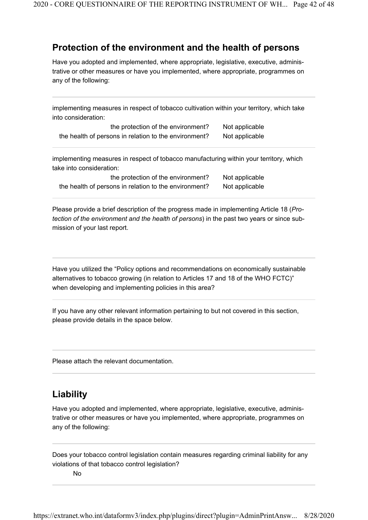#### Protection of the environment and the health of persons

Have you adopted and implemented, where appropriate, legislative, executive, administrative or other measures or have you implemented, where appropriate, programmes on any of the following:

implementing measures in respect of tobacco cultivation within your territory, which take into consideration:

| the protection of the environment?                    | Not applicable |
|-------------------------------------------------------|----------------|
| the health of persons in relation to the environment? | Not applicable |

implementing measures in respect of tobacco manufacturing within your territory, which take into consideration:

| the protection of the environment?                    | No |
|-------------------------------------------------------|----|
| the health of persons in relation to the environment? | No |

t applicable t applicable

Please provide a brief description of the progress made in implementing Article 18 (*Protection of the environment and the health of persons*) in the past two years or since submission of your last report.

Have you utilized the "Policy options and recommendations on economically sustainable alternatives to tobacco growing (in relation to Articles 17 and 18 of the WHO FCTC)" when developing and implementing policies in this area?

If you have any other relevant information pertaining to but not covered in this section, please provide details in the space below.

Please attach the relevant documentation.

## Liability

Have you adopted and implemented, where appropriate, legislative, executive, administrative or other measures or have you implemented, where appropriate, programmes on any of the following:

Does your tobacco control legislation contain measures regarding criminal liability for any violations of that tobacco control legislation?

No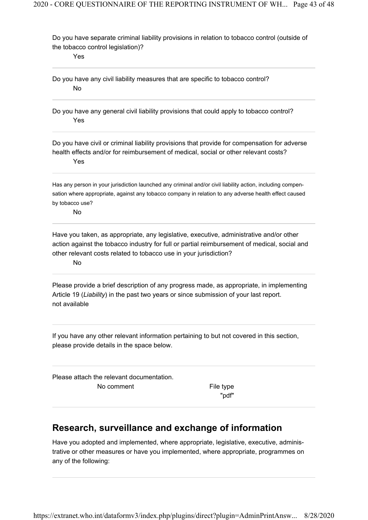Do you have separate criminal liability provisions in relation to tobacco control (outside of the tobacco control legislation)?

Yes

Do you have any civil liability measures that are specific to tobacco control? No

Do you have any general civil liability provisions that could apply to tobacco control? Yes

Do you have civil or criminal liability provisions that provide for compensation for adverse health effects and/or for reimbursement of medical, social or other relevant costs? Yes

Has any person in your jurisdiction launched any criminal and/or civil liability action, including compensation where appropriate, against any tobacco company in relation to any adverse health effect caused by tobacco use?

No

Have you taken, as appropriate, any legislative, executive, administrative and/or other action against the tobacco industry for full or partial reimbursement of medical, social and other relevant costs related to tobacco use in your jurisdiction?

No

not available Please provide a brief description of any progress made, as appropriate, in implementing Article 19 (Liability) in the past two years or since submission of your last report.

If you have any other relevant information pertaining to but not covered in this section, please provide details in the space below.

Please attach the relevant documentation. No comment The South School and The type

"pdf"

### Research, surveillance and exchange of information

Have you adopted and implemented, where appropriate, legislative, executive, administrative or other measures or have you implemented, where appropriate, programmes on any of the following: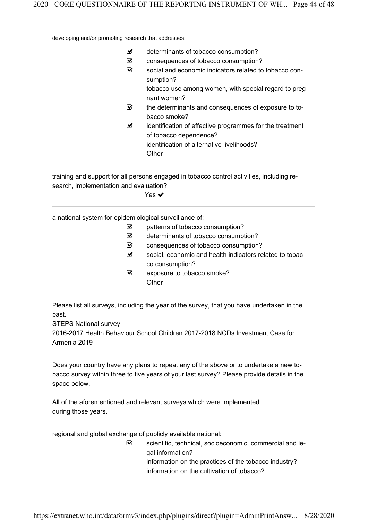developing and/or promoting research that addresses:

| determinants of tobacco consumption?                                                                                                      |
|-------------------------------------------------------------------------------------------------------------------------------------------|
| consequences of tobacco consumption?                                                                                                      |
| social and economic indicators related to tobacco con-<br>sumption?                                                                       |
| tobacco use among women, with special regard to preg-<br>nant women?                                                                      |
| the determinants and consequences of exposure to to-<br>bacco smoke?                                                                      |
| identification of effective programmes for the treatment<br>of tobacco dependence?<br>identification of alternative livelihoods?<br>Other |
|                                                                                                                                           |

training and support for all persons engaged in tobacco control activities, including research, implementation and evaluation?

Yes **✓** 

a national system for epidemiological surveillance of:

| М                       | patterns of tobacco consumption?                         |
|-------------------------|----------------------------------------------------------|
| $\overline{\mathbf{v}}$ | determinants of tobacco consumption?                     |
| $\overline{\mathbf{v}}$ | consequences of tobacco consumption?                     |
| ☑                       | social, economic and health indicators related to tobac- |
|                         | co consumption?                                          |
| ☑                       | exposure to tobacco smoke?                               |
|                         | Other                                                    |
|                         |                                                          |

Please list all surveys, including the year of the survey, that you have undertaken in the past.

STEPS National survey

2016-2017 Health Behaviour School Children 2017-2018 NCDs Investment Case for Armenia 2019

Does your country have any plans to repeat any of the above or to undertake a new tobacco survey within three to five years of your last survey? Please provide details in the space below.

All of the aforementioned and relevant surveys which were implemented during those years.

regional and global exchange of publicly available national:

 $\mathcal G$  scientific, technical, socioeconomic, commercial and legal information? information on the practices of the tobacco industry? information on the cultivation of tobacco?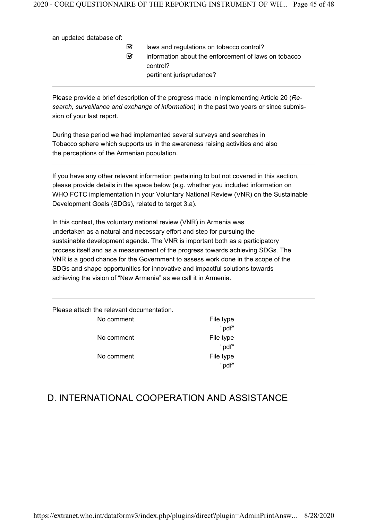an updated database of:

 $\mathcal{I}$  laws and regulations on tobacco control?  $\mathcal G$  information about the enforcement of laws on tobacco control? pertinent jurisprudence?

Please provide a brief description of the progress made in implementing Article 20 ( Research, surveillance and exchange of information) in the past two years or since submission of your last report.

During these period we had implemented several surveys and searches in Tobacco sphere which supports us in the awareness raising activities and also the perceptions of the Armenian population.

If you have any other relevant information pertaining to but not covered in this section, please provide details in the space below (e.g. whether you included information on WHO FCTC implementation in your Voluntary National Review (VNR) on the Sustainable Development Goals (SDGs), related to target 3.a).

In this context, the voluntary national review (VNR) in Armenia was undertaken as a natural and necessary effort and step for pursuing the sustainable development agenda. The VNR is important both as a participatory process itself and as a measurement of the progress towards achieving SDGs. The VNR is a good chance for the Government to assess work done in the scope of the SDGs and shape opportunities for innovative and impactful solutions towards achieving the vision of "New Armenia" as we call it in Armenia.

Please attach the relevant documentation.

|            | wui       |
|------------|-----------|
| No comment | File type |

No comment The South School and The type

No comment The South School and The type "pdf" "pdf" "pdf"

## D. INTERNATIONAL COOPERATION AND ASSISTANCE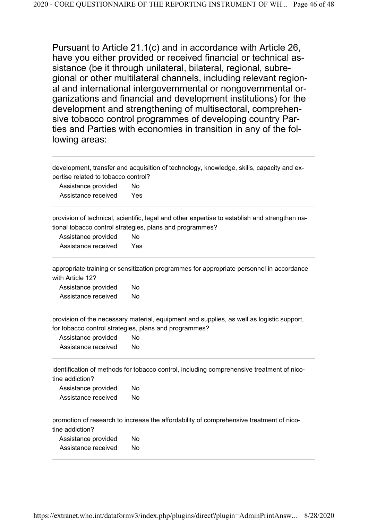Pursuant to Article 21.1(c) and in accordance with Article 26, have you either provided or received financial or technical assistance (be it through unilateral, bilateral, regional, subregional or other multilateral channels, including relevant regional and international intergovernmental or nongovernmental organizations and financial and development institutions) for the development and strengthening of multisectoral, comprehensive tobacco control programmes of developing country Parties and Parties with economies in transition in any of the following areas:

development, transfer and acquisition of technology, knowledge, skills, capacity and expertise related to tobacco control?

| Assistance provided | No  |
|---------------------|-----|
| Assistance received | Yes |

provision of technical, scientific, legal and other expertise to establish and strengthen national tobacco control strategies, plans and programmes?

| Assistance provided | No  |
|---------------------|-----|
| Assistance received | Yes |

appropriate training or sensitization programmes for appropriate personnel in accordance with Article 12?

Assistance provided No Assistance received No

provision of the necessary material, equipment and supplies, as well as logistic support, for tobacco control strategies, plans and programmes?

| Assistance provided | No |
|---------------------|----|
| Assistance received | No |

identification of methods for tobacco control, including comprehensive treatment of nicotine addiction?

| Assistance provided | No |
|---------------------|----|
| Assistance received | No |

promotion of research to increase the affordability of comprehensive treatment of nicotine addiction?

Assistance provided No Assistance received No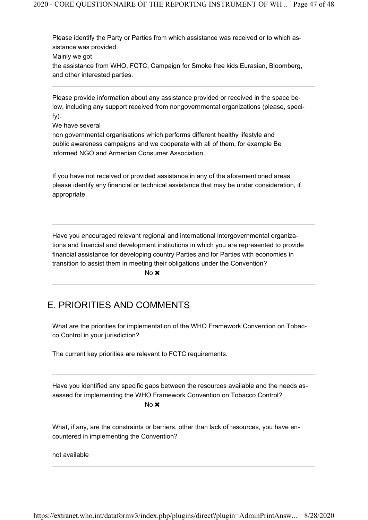Please identify the Party or Parties from which assistance was received or to which assistance was provided.

Mainly we got

the assistance from WHO, FCTC, Campaign for Smoke free kids Eurasian, Bloomberg, and other interested parties.

Please provide information about any assistance provided or received in the space below, including any support received from nongovernmental organizations (please, specify).

We have several

non governmental organisations which performs different healthy lifestyle and public awareness campaigns and we cooperate with all of them, for example Be informed NGO and Armenian Consumer Association,

If you have not received or provided assistance in any of the aforementioned areas, please identify any financial or technical assistance that may be under consideration, if appropriate.

Have you encouraged relevant regional and international intergovernmental organizations and financial and development institutions in which you are represented to provide financial assistance for developing country Parties and for Parties with economies in transition to assist them in meeting their obligations under the Convention?

No **x** 

### E. PRIORITIES AND COMMENTS

What are the priorities for implementation of the WHO Framework Convention on Tobacco Control in your jurisdiction?

The current key priorities are relevant to FCTC requirements.

Have you identified any specific gaps between the resources available and the needs assessed for implementing the WHO Framework Convention on Tobacco Control?

No **x** 

What, if any, are the constraints or barriers, other than lack of resources, you have encountered in implementing the Convention?

not available